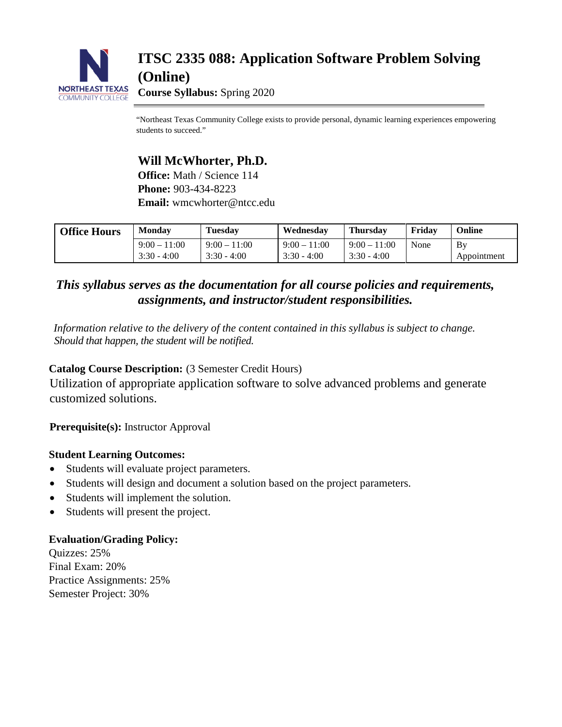

## **ITSC 2335 088: Application Software Problem Solving (Online)**

**Course Syllabus:** Spring 2020

"Northeast Texas Community College exists to provide personal, dynamic learning experiences empowering students to succeed."

## **Will McWhorter, Ph.D.**

**Office:** Math / Science 114 **Phone:** 903-434-8223 **Email:** wmcwhorter@ntcc.edu

| <b>Office Hours</b> | Monday         | <b>Tuesday</b> | Wednesdav      | <b>Thursdav</b> | Fridav | Online      |
|---------------------|----------------|----------------|----------------|-----------------|--------|-------------|
|                     | $9:00 - 11:00$ | $9:00 - 11:00$ | $9:00 - 11:00$ | $9:00 - 11:00$  | None   | Bv          |
|                     | $3:30 - 4:00$  | $3:30 - 4:00$  | $3:30 - 4:00$  | $3:30 - 4:00$   |        | Appointment |

### *This syllabus serves as the documentation for all course policies and requirements, assignments, and instructor/student responsibilities.*

*Information relative to the delivery of the content contained in this syllabus is subject to change. Should that happen, the student will be notified.*

#### **Catalog Course Description:** (3 Semester Credit Hours)

Utilization of appropriate application software to solve advanced problems and generate customized solutions.

**Prerequisite(s):** Instructor Approval

#### **Student Learning Outcomes:**

- Students will evaluate project parameters.
- Students will design and document a solution based on the project parameters.
- Students will implement the solution.
- Students will present the project.

#### **Evaluation/Grading Policy:**

Quizzes: 25% Final Exam: 20% Practice Assignments: 25% Semester Project: 30%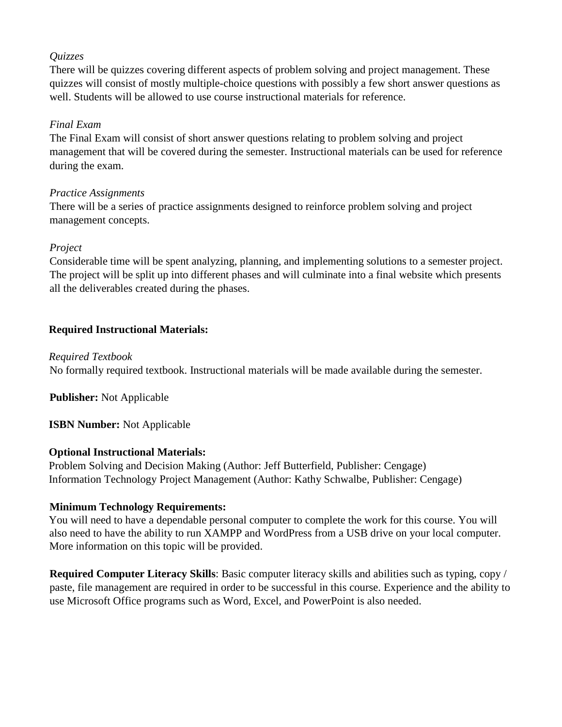#### *Quizzes*

There will be quizzes covering different aspects of problem solving and project management. These quizzes will consist of mostly multiple-choice questions with possibly a few short answer questions as well. Students will be allowed to use course instructional materials for reference.

#### *Final Exam*

The Final Exam will consist of short answer questions relating to problem solving and project management that will be covered during the semester. Instructional materials can be used for reference during the exam.

#### *Practice Assignments*

There will be a series of practice assignments designed to reinforce problem solving and project management concepts.

#### *Project*

Considerable time will be spent analyzing, planning, and implementing solutions to a semester project. The project will be split up into different phases and will culminate into a final website which presents all the deliverables created during the phases.

#### **Required Instructional Materials:**

#### *Required Textbook*

No formally required textbook. Instructional materials will be made available during the semester.

**Publisher:** Not Applicable

#### **ISBN Number:** Not Applicable

#### **Optional Instructional Materials:**

Problem Solving and Decision Making (Author: Jeff Butterfield, Publisher: Cengage) Information Technology Project Management (Author: Kathy Schwalbe, Publisher: Cengage)

#### **Minimum Technology Requirements:**

You will need to have a dependable personal computer to complete the work for this course. You will also need to have the ability to run XAMPP and WordPress from a USB drive on your local computer. More information on this topic will be provided.

**Required Computer Literacy Skills**: Basic computer literacy skills and abilities such as typing, copy / paste, file management are required in order to be successful in this course. Experience and the ability to use Microsoft Office programs such as Word, Excel, and PowerPoint is also needed.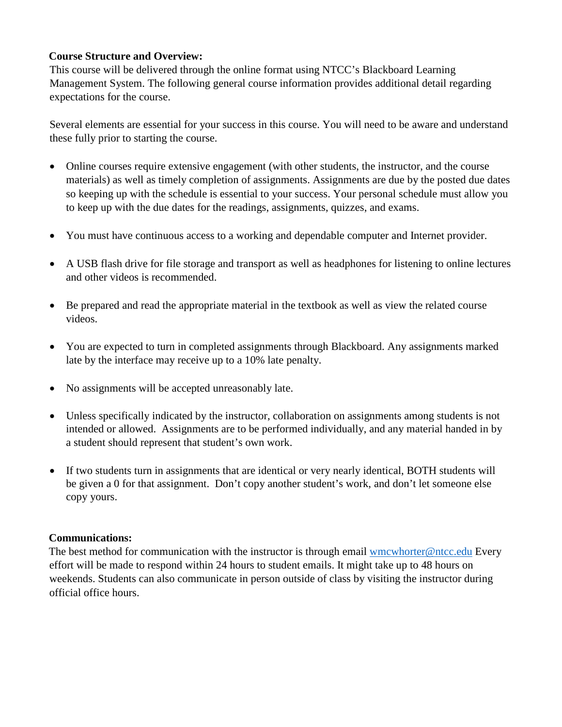#### **Course Structure and Overview:**

This course will be delivered through the online format using NTCC's Blackboard Learning Management System. The following general course information provides additional detail regarding expectations for the course.

Several elements are essential for your success in this course. You will need to be aware and understand these fully prior to starting the course.

- Online courses require extensive engagement (with other students, the instructor, and the course materials) as well as timely completion of assignments. Assignments are due by the posted due dates so keeping up with the schedule is essential to your success. Your personal schedule must allow you to keep up with the due dates for the readings, assignments, quizzes, and exams.
- You must have continuous access to a working and dependable computer and Internet provider.
- A USB flash drive for file storage and transport as well as headphones for listening to online lectures and other videos is recommended.
- Be prepared and read the appropriate material in the textbook as well as view the related course videos.
- You are expected to turn in completed assignments through Blackboard. Any assignments marked late by the interface may receive up to a 10% late penalty.
- No assignments will be accepted unreasonably late.
- Unless specifically indicated by the instructor, collaboration on assignments among students is not intended or allowed. Assignments are to be performed individually, and any material handed in by a student should represent that student's own work.
- If two students turn in assignments that are identical or very nearly identical, BOTH students will be given a 0 for that assignment. Don't copy another student's work, and don't let someone else copy yours.

#### **Communications:**

The best method for communication with the instructor is through email wmcwhorter@ntcc.edu Every effort will be made to respond within 24 hours to student emails. It might take up to 48 hours on weekends. Students can also communicate in person outside of class by visiting the instructor during official office hours.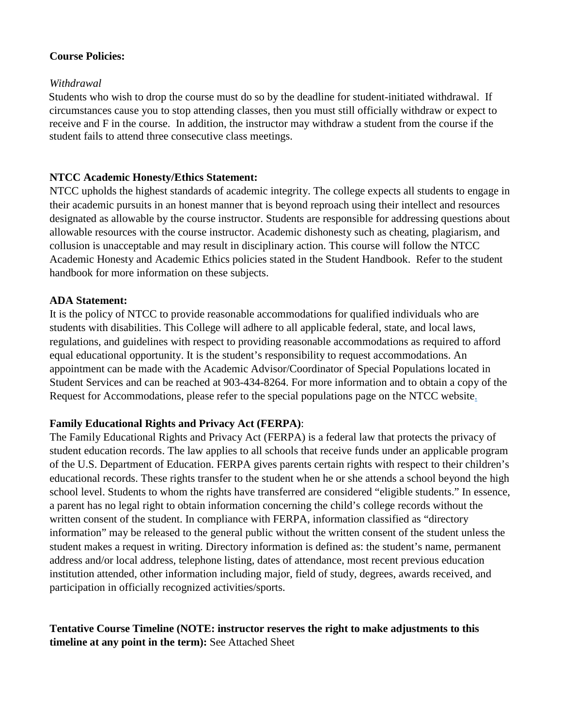#### **Course Policies:**

#### *Withdrawal*

Students who wish to drop the course must do so by the deadline for student-initiated withdrawal. If circumstances cause you to stop attending classes, then you must still officially withdraw or expect to receive and F in the course. In addition, the instructor may withdraw a student from the course if the student fails to attend three consecutive class meetings.

#### **NTCC Academic Honesty/Ethics Statement:**

NTCC upholds the highest standards of academic integrity. The college expects all students to engage in their academic pursuits in an honest manner that is beyond reproach using their intellect and resources designated as allowable by the course instructor. Students are responsible for addressing questions about allowable resources with the course instructor. Academic dishonesty such as cheating, plagiarism, and collusion is unacceptable and may result in disciplinary action. This course will follow the NTCC Academic Honesty and Academic Ethics policies stated in the Student Handbook. Refer to the student handbook for more information on these subjects.

#### **ADA Statement:**

It is the policy of NTCC to provide reasonable accommodations for qualified individuals who are students with disabilities. This College will adhere to all applicable federal, state, and local laws, regulations, and guidelines with respect to providing reasonable accommodations as required to afford equal educational opportunity. It is the student's responsibility to request accommodations. An appointment can be made with the Academic Advisor/Coordinator of Special Populations located in Student Services and can be reached at 903-434-8264. For more information and to obtain a copy of the Request for Accommodations, please refer to the special populations page on the NTCC website.

#### **Family Educational Rights and Privacy Act (FERPA)**:

The Family Educational Rights and Privacy Act (FERPA) is a federal law that protects the privacy of student education records. The law applies to all schools that receive funds under an applicable program of the U.S. Department of Education. FERPA gives parents certain rights with respect to their children's educational records. These rights transfer to the student when he or she attends a school beyond the high school level. Students to whom the rights have transferred are considered "eligible students." In essence, a parent has no legal right to obtain information concerning the child's college records without the written consent of the student. In compliance with FERPA, information classified as "directory information" may be released to the general public without the written consent of the student unless the student makes a request in writing. Directory information is defined as: the student's name, permanent address and/or local address, telephone listing, dates of attendance, most recent previous education institution attended, other information including major, field of study, degrees, awards received, and participation in officially recognized activities/sports.

#### **Tentative Course Timeline (NOTE: instructor reserves the right to make adjustments to this timeline at any point in the term):** See Attached Sheet